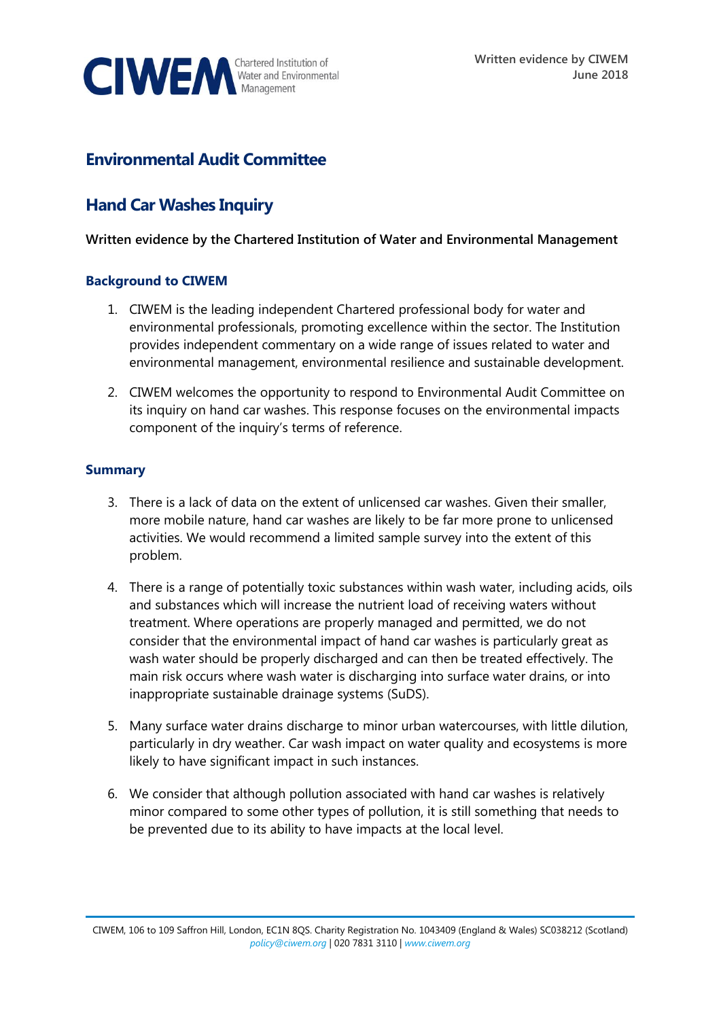

# **Environmental Audit Committee**

# **Hand Car Washes Inquiry**

## **Written evidence by the Chartered Institution of Water and Environmental Management**

#### **Background to CIWEM**

- 1. CIWEM is the leading independent Chartered professional body for water and environmental professionals, promoting excellence within the sector. The Institution provides independent commentary on a wide range of issues related to water and environmental management, environmental resilience and sustainable development.
- 2. CIWEM welcomes the opportunity to respond to Environmental Audit Committee on its inquiry on hand car washes. This response focuses on the environmental impacts component of the inquiry's terms of reference.

## **Summary**

- 3. There is a lack of data on the extent of unlicensed car washes. Given their smaller, more mobile nature, hand car washes are likely to be far more prone to unlicensed activities. We would recommend a limited sample survey into the extent of this problem.
- 4. There is a range of potentially toxic substances within wash water, including acids, oils and substances which will increase the nutrient load of receiving waters without treatment. Where operations are properly managed and permitted, we do not consider that the environmental impact of hand car washes is particularly great as wash water should be properly discharged and can then be treated effectively. The main risk occurs where wash water is discharging into surface water drains, or into inappropriate sustainable drainage systems (SuDS).
- 5. Many surface water drains discharge to minor urban watercourses, with little dilution, particularly in dry weather. Car wash impact on water quality and ecosystems is more likely to have significant impact in such instances.
- 6. We consider that although pollution associated with hand car washes is relatively minor compared to some other types of pollution, it is still something that needs to be prevented due to its ability to have impacts at the local level.

CIWEM, 106 to 109 Saffron Hill, London, EC1N 8QS. Charity Registration No. 1043409 (England & Wales) SC038212 (Scotland) *[policy@ciwem.org](mailto:policy@ciwem.org)* | 020 7831 3110 | *[www.ciwem.org](http://www.ciwem.org/)*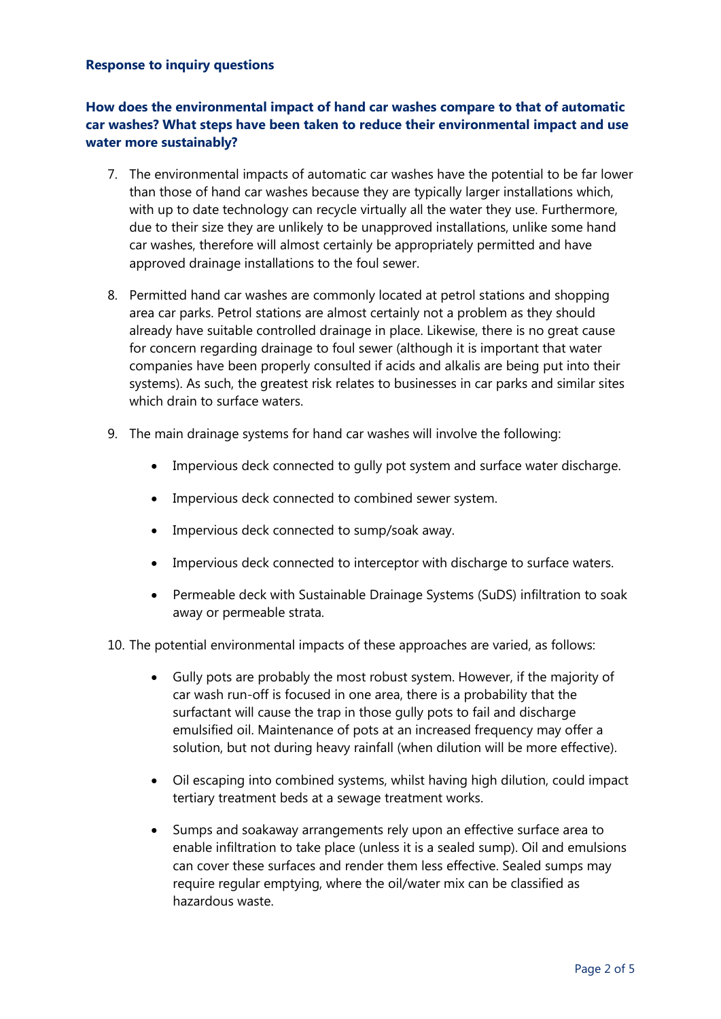#### **Response to inquiry questions**

# **How does the environmental impact of hand car washes compare to that of automatic car washes? What steps have been taken to reduce their environmental impact and use water more sustainably?**

- 7. The environmental impacts of automatic car washes have the potential to be far lower than those of hand car washes because they are typically larger installations which, with up to date technology can recycle virtually all the water they use. Furthermore, due to their size they are unlikely to be unapproved installations, unlike some hand car washes, therefore will almost certainly be appropriately permitted and have approved drainage installations to the foul sewer.
- 8. Permitted hand car washes are commonly located at petrol stations and shopping area car parks. Petrol stations are almost certainly not a problem as they should already have suitable controlled drainage in place. Likewise, there is no great cause for concern regarding drainage to foul sewer (although it is important that water companies have been properly consulted if acids and alkalis are being put into their systems). As such, the greatest risk relates to businesses in car parks and similar sites which drain to surface waters.
- 9. The main drainage systems for hand car washes will involve the following:
	- Impervious deck connected to gully pot system and surface water discharge.
	- Impervious deck connected to combined sewer system.
	- Impervious deck connected to sump/soak away.
	- Impervious deck connected to interceptor with discharge to surface waters.
	- Permeable deck with Sustainable Drainage Systems (SuDS) infiltration to soak away or permeable strata.

10. The potential environmental impacts of these approaches are varied, as follows:

- Gully pots are probably the most robust system. However, if the majority of car wash run-off is focused in one area, there is a probability that the surfactant will cause the trap in those gully pots to fail and discharge emulsified oil. Maintenance of pots at an increased frequency may offer a solution, but not during heavy rainfall (when dilution will be more effective).
- Oil escaping into combined systems, whilst having high dilution, could impact tertiary treatment beds at a sewage treatment works.
- Sumps and soakaway arrangements rely upon an effective surface area to enable infiltration to take place (unless it is a sealed sump). Oil and emulsions can cover these surfaces and render them less effective. Sealed sumps may require regular emptying, where the oil/water mix can be classified as hazardous waste.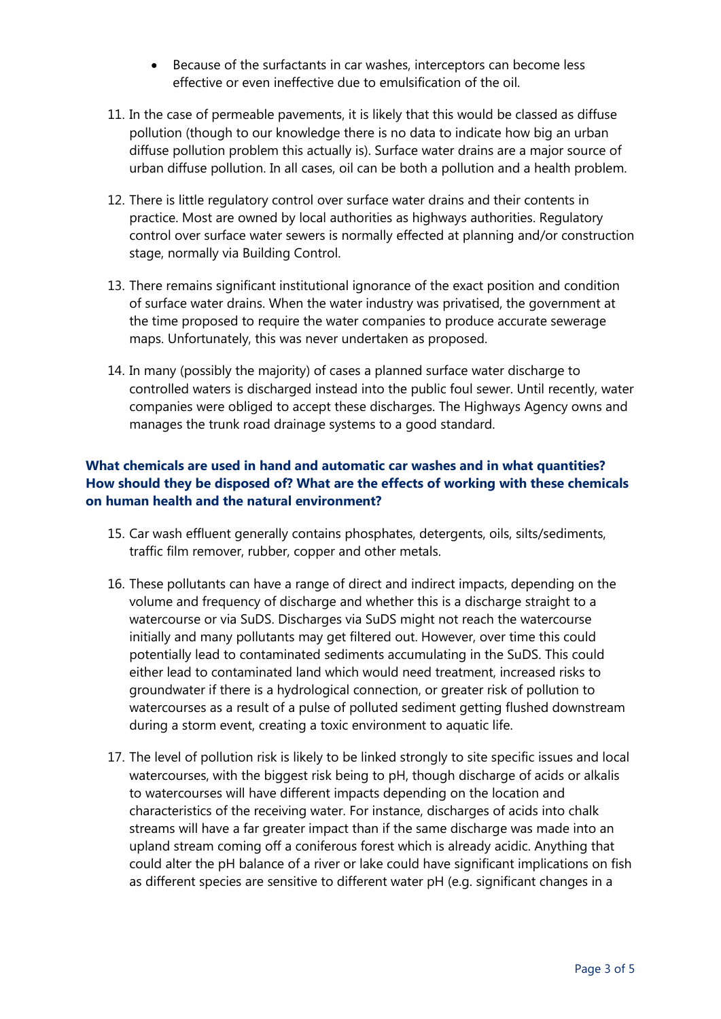- Because of the surfactants in car washes, interceptors can become less effective or even ineffective due to emulsification of the oil.
- 11. In the case of permeable pavements, it is likely that this would be classed as diffuse pollution (though to our knowledge there is no data to indicate how big an urban diffuse pollution problem this actually is). Surface water drains are a major source of urban diffuse pollution. In all cases, oil can be both a pollution and a health problem.
- 12. There is little regulatory control over surface water drains and their contents in practice. Most are owned by local authorities as highways authorities. Regulatory control over surface water sewers is normally effected at planning and/or construction stage, normally via Building Control.
- 13. There remains significant institutional ignorance of the exact position and condition of surface water drains. When the water industry was privatised, the government at the time proposed to require the water companies to produce accurate sewerage maps. Unfortunately, this was never undertaken as proposed.
- 14. In many (possibly the majority) of cases a planned surface water discharge to controlled waters is discharged instead into the public foul sewer. Until recently, water companies were obliged to accept these discharges. The Highways Agency owns and manages the trunk road drainage systems to a good standard.

# **What chemicals are used in hand and automatic car washes and in what quantities? How should they be disposed of? What are the effects of working with these chemicals on human health and the natural environment?**

- 15. Car wash effluent generally contains phosphates, detergents, oils, silts/sediments, traffic film remover, rubber, copper and other metals.
- 16. These pollutants can have a range of direct and indirect impacts, depending on the volume and frequency of discharge and whether this is a discharge straight to a watercourse or via SuDS. Discharges via SuDS might not reach the watercourse initially and many pollutants may get filtered out. However, over time this could potentially lead to contaminated sediments accumulating in the SuDS. This could either lead to contaminated land which would need treatment, increased risks to groundwater if there is a hydrological connection, or greater risk of pollution to watercourses as a result of a pulse of polluted sediment getting flushed downstream during a storm event, creating a toxic environment to aquatic life.
- 17. The level of pollution risk is likely to be linked strongly to site specific issues and local watercourses, with the biggest risk being to pH, though discharge of acids or alkalis to watercourses will have different impacts depending on the location and characteristics of the receiving water. For instance, discharges of acids into chalk streams will have a far greater impact than if the same discharge was made into an upland stream coming off a coniferous forest which is already acidic. Anything that could alter the pH balance of a river or lake could have significant implications on fish as different species are sensitive to different water pH (e.g. significant changes in a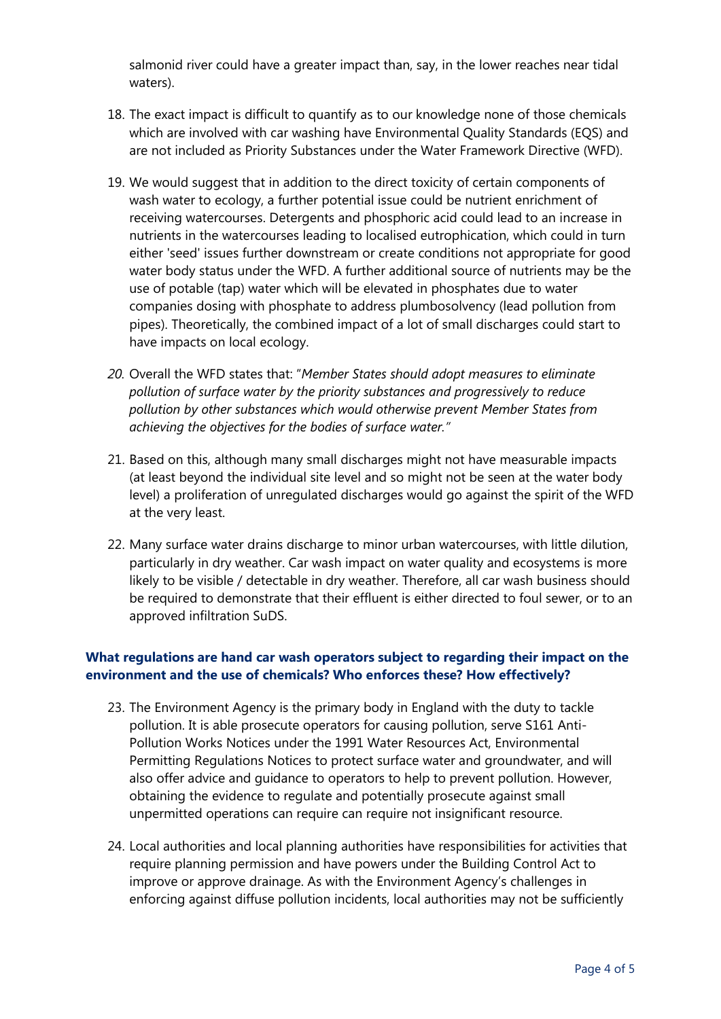salmonid river could have a greater impact than, say, in the lower reaches near tidal waters).

- 18. The exact impact is difficult to quantify as to our knowledge none of those chemicals which are involved with car washing have Environmental Quality Standards (EQS) and are not included as Priority Substances under the Water Framework Directive (WFD).
- 19. We would suggest that in addition to the direct toxicity of certain components of wash water to ecology, a further potential issue could be nutrient enrichment of receiving watercourses. Detergents and phosphoric acid could lead to an increase in nutrients in the watercourses leading to localised eutrophication, which could in turn either 'seed' issues further downstream or create conditions not appropriate for good water body status under the WFD. A further additional source of nutrients may be the use of potable (tap) water which will be elevated in phosphates due to water companies dosing with phosphate to address plumbosolvency (lead pollution from pipes). Theoretically, the combined impact of a lot of small discharges could start to have impacts on local ecology.
- *20.* Overall the WFD states that: "*Member States should adopt measures to eliminate pollution of surface water by the priority substances and progressively to reduce pollution by other substances which would otherwise prevent Member States from achieving the objectives for the bodies of surface water."*
- 21. Based on this, although many small discharges might not have measurable impacts (at least beyond the individual site level and so might not be seen at the water body level) a proliferation of unregulated discharges would go against the spirit of the WFD at the very least.
- 22. Many surface water drains discharge to minor urban watercourses, with little dilution, particularly in dry weather. Car wash impact on water quality and ecosystems is more likely to be visible / detectable in dry weather. Therefore, all car wash business should be required to demonstrate that their effluent is either directed to foul sewer, or to an approved infiltration SuDS.

## **What regulations are hand car wash operators subject to regarding their impact on the environment and the use of chemicals? Who enforces these? How effectively?**

- 23. The Environment Agency is the primary body in England with the duty to tackle pollution. It is able prosecute operators for causing pollution, serve S161 Anti-Pollution Works Notices under the 1991 Water Resources Act, Environmental Permitting Regulations Notices to protect surface water and groundwater, and will also offer advice and guidance to operators to help to prevent pollution. However, obtaining the evidence to regulate and potentially prosecute against small unpermitted operations can require can require not insignificant resource.
- 24. Local authorities and local planning authorities have responsibilities for activities that require planning permission and have powers under the Building Control Act to improve or approve drainage. As with the Environment Agency's challenges in enforcing against diffuse pollution incidents, local authorities may not be sufficiently